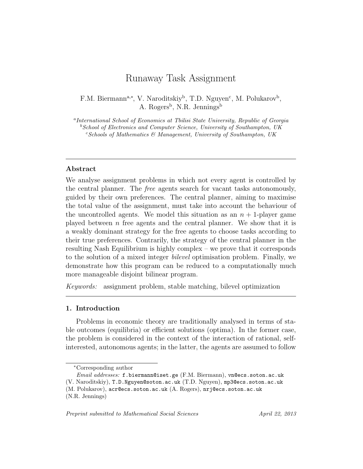# Runaway Task Assignment

F.M. Biermann<sup>a,\*</sup>, V. Naroditskiy<sup>b</sup>, T.D. Nguyen<sup>c</sup>, M. Polukarov<sup>b</sup>, A. Rogers<sup>b</sup>, N.R. Jennings<sup>b</sup>

<sup>a</sup>International School of Economics at Tbilisi State University, Republic of Georgia  $b$ School of Electronics and Computer Science, University of Southampton, UK  $c$ Schools of Mathematics  $\mathcal{C}$  Management, University of Southampton, UK

## Abstract

We analyse assignment problems in which not every agent is controlled by the central planner. The free agents search for vacant tasks autonomously, guided by their own preferences. The central planner, aiming to maximise the total value of the assignment, must take into account the behaviour of the uncontrolled agents. We model this situation as an  $n + 1$ -player game played between  $n$  free agents and the central planner. We show that it is a weakly dominant strategy for the free agents to choose tasks according to their true preferences. Contrarily, the strategy of the central planner in the resulting Nash Equilibrium is highly complex – we prove that it corresponds to the solution of a mixed integer bilevel optimisation problem. Finally, we demonstrate how this program can be reduced to a computationally much more manageable disjoint bilinear program.

Keywords: assignment problem, stable matching, bilevel optimization

#### 1. Introduction

Problems in economic theory are traditionally analysed in terms of stable outcomes (equilibria) or efficient solutions (optima). In the former case, the problem is considered in the context of the interaction of rational, selfinterested, autonomous agents; in the latter, the agents are assumed to follow

<sup>∗</sup>Corresponding author

Email addresses: f.biermann@iset.ge (F.M. Biermann), vn@ecs.soton.ac.uk

<sup>(</sup>V. Naroditskiy), T.D.Nguyen@soton.ac.uk (T.D. Nguyen), mp3@ecs.soton.ac.uk

<sup>(</sup>M. Polukarov), acr@ecs.soton.ac.uk (A. Rogers), nrj@ecs.soton.ac.uk

<sup>(</sup>N.R. Jennings)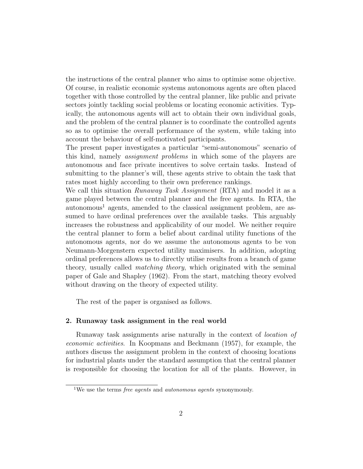the instructions of the central planner who aims to optimise some objective. Of course, in realistic economic systems autonomous agents are often placed together with those controlled by the central planner, like public and private sectors jointly tackling social problems or locating economic activities. Typically, the autonomous agents will act to obtain their own individual goals, and the problem of the central planner is to coordinate the controlled agents so as to optimise the overall performance of the system, while taking into account the behaviour of self-motivated participants.

The present paper investigates a particular "semi-autonomous" scenario of this kind, namely assignment problems in which some of the players are autonomous and face private incentives to solve certain tasks. Instead of submitting to the planner's will, these agents strive to obtain the task that rates most highly according to their own preference rankings.

We call this situation *Runaway Task Assignment* (RTA) and model it as a game played between the central planner and the free agents. In RTA, the  $\alpha$ utonomous<sup>1</sup> agents, amended to the classical assignment problem, are assumed to have ordinal preferences over the available tasks. This arguably increases the robustness and applicability of our model. We neither require the central planner to form a belief about cardinal utility functions of the autonomous agents, nor do we assume the autonomous agents to be von Neumann-Morgenstern expected utility maximisers. In addition, adopting ordinal preferences allows us to directly utilise results from a branch of game theory, usually called matching theory, which originated with the seminal paper of Gale and Shapley (1962). From the start, matching theory evolved without drawing on the theory of expected utility.

The rest of the paper is organised as follows.

#### 2. Runaway task assignment in the real world

Runaway task assignments arise naturally in the context of location of economic activities. In Koopmans and Beckmann (1957), for example, the authors discuss the assignment problem in the context of choosing locations for industrial plants under the standard assumption that the central planner is responsible for choosing the location for all of the plants. However, in

<sup>&</sup>lt;sup>1</sup>We use the terms *free agents* and *autonomous agents* synonymously.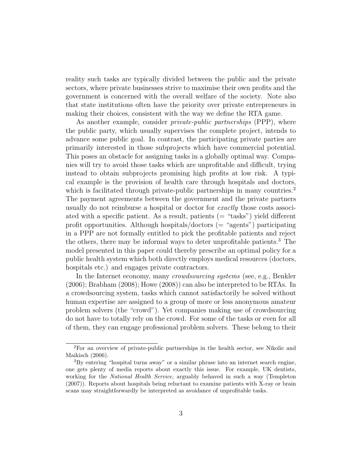reality such tasks are typically divided between the public and the private sectors, where private businesses strive to maximise their own profits and the government is concerned with the overall welfare of the society. Note also that state institutions often have the priority over private entrepreneurs in making their choices, consistent with the way we define the RTA game.

As another example, consider *private-public partnerships* (PPP), where the public party, which usually supervises the complete project, intends to advance some public goal. In contrast, the participating private parties are primarily interested in those subprojects which have commercial potential. This poses an obstacle for assigning tasks in a globally optimal way. Companies will try to avoid those tasks which are unprofitable and difficult, trying instead to obtain subprojects promising high profits at low risk. A typical example is the provision of health care through hospitals and doctors, which is facilitated through private-public partnerships in many countries.<sup>2</sup> The payment agreements between the government and the private partners usually do not reimburse a hospital or doctor for *exactly* those costs associated with a specific patient. As a result, patients  $($  = "tasks" $)$  yield different profit opportunities. Although hospitals/doctors  $($  = "agents" $)$  participating in a PPP are not formally entitled to pick the profitable patients and reject the others, there may be informal ways to deter unprofitable patients.<sup>3</sup> The model presented in this paper could thereby prescribe an optimal policy for a public health system which both directly employs medical resources (doctors, hospitals etc.) and engages private contractors.

In the Internet economy, many *crowdsourcing systems* (see, e.g., Benkler (2006); Brabham (2008); Howe (2008)) can also be interpreted to be RTAs. In a crowdsourcing system, tasks which cannot satisfactorily be solved without human expertise are assigned to a group of more or less anonymous amateur problem solvers (the "crowd"). Yet companies making use of crowdsourcing do not have to totally rely on the crowd. For some of the tasks or even for all of them, they can engage professional problem solvers. These belong to their

<sup>2</sup>For an overview of private-public partnerships in the health sector, see Nikolic and Maikisch (2006).

<sup>3</sup>By entering "hospital turns away" or a similar phrase into an internet search engine, one gets plenty of media reports about exactly this issue. For example, UK dentists, working for the National Health Service, arguably behaved in such a way (Templeton (2007)). Reports about hospitals being reluctant to examine patients with X-ray or brain scans may straightforwardly be interpreted as avoidance of unprofitable tasks.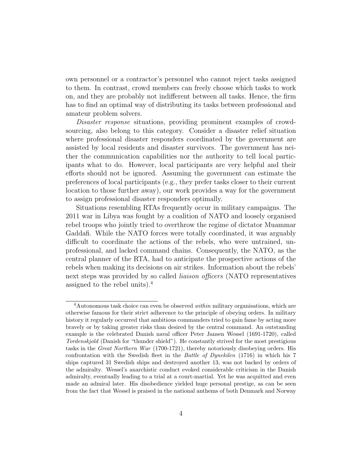own personnel or a contractor's personnel who cannot reject tasks assigned to them. In contrast, crowd members can freely choose which tasks to work on, and they are probably not indifferent between all tasks. Hence, the firm has to find an optimal way of distributing its tasks between professional and amateur problem solvers.

Disaster response situations, providing prominent examples of crowdsourcing, also belong to this category. Consider a disaster relief situation where professional disaster responders coordinated by the government are assisted by local residents and disaster survivors. The government has neither the communication capabilities nor the authority to tell local participants what to do. However, local participants are very helpful and their efforts should not be ignored. Assuming the government can estimate the preferences of local participants (e.g., they prefer tasks closer to their current location to those further away), our work provides a way for the government to assign professional disaster responders optimally.

Situations resembling RTAs frequently occur in military campaigns. The 2011 war in Libya was fought by a coalition of NATO and loosely organised rebel troops who jointly tried to overthrow the regime of dictator Muammar Gaddafi. While the NATO forces were totally coordinated, it was arguably difficult to coordinate the actions of the rebels, who were untrained, unprofessional, and lacked command chains. Consequently, the NATO, as the central planner of the RTA, had to anticipate the prospective actions of the rebels when making its decisions on air strikes. Information about the rebels' next steps was provided by so called *liaison officers* (NATO representatives assigned to the rebel units).<sup>4</sup>

<sup>&</sup>lt;sup>4</sup>Autonomous task choice can even be observed *within* military organisations, which are otherwise famous for their strict adherence to the principle of obeying orders. In military history it regularly occurred that ambitious commanders tried to gain fame by acting more bravely or by taking greater risks than desired by the central command. An outstanding example is the celebrated Danish naval officer Peter Jansen Wessel (1691-1720), called Tordenskjold (Danish for "thunder shield"). He constantly strived for the most prestigious tasks in the Great Northern War (1700-1721), thereby notoriously disobeying orders. His confrontation with the Swedish fleet in the Battle of Dynekilen (1716) in which his 7 ships captured 31 Swedish ships and destroyed another 13, was not backed by orders of the admiralty. Wessel's anarchistic conduct evoked considerable criticism in the Danish admiralty, eventually leading to a trial at a court-martial. Yet he was acquitted and even made an admiral later. His disobedience yielded huge personal prestige, as can be seen from the fact that Wessel is praised in the national anthems of both Denmark and Norway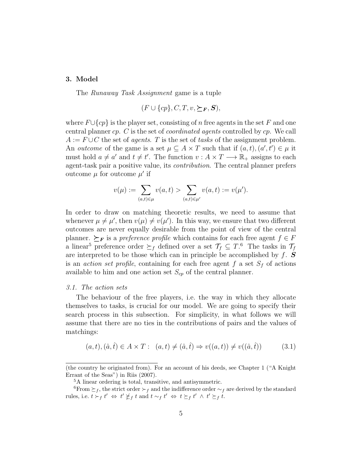## 3. Model

The Runaway Task Assignment game is a tuple

$$
(F \cup \{cp\}, C, T, v, \succeq_F, \mathbf{S}),
$$

where  $F\cup\{cp\}$  is the player set, consisting of n free agents in the set F and one central planner cp. C is the set of coordinated agents controlled by cp. We call  $A := F \cup C$  the set of *agents.* T is the set of tasks of the assignment problem. An *outcome* of the game is a set  $\mu \subseteq A \times T$  such that if  $(a, t), (a', t') \in \mu$  it must hold  $a \neq a'$  and  $t \neq t'$ . The function  $v : A \times T \longrightarrow \mathbb{R}_+$  assigns to each agent-task pair a positive value, its contribution. The central planner prefers outcome  $\mu$  for outcome  $\mu'$  if

$$
v(\mu) := \sum_{(a,t) \in \mu} v(a,t) > \sum_{(a,t) \in \mu'} v(a,t) := v(\mu').
$$

In order to draw on matching theoretic results, we need to assume that whenever  $\mu \neq \mu'$ , then  $v(\mu) \neq v(\mu')$ . In this way, we ensure that two different outcomes are never equally desirable from the point of view of the central planner.  $\succeq_F$  is a *preference profile* which contains for each free agent  $f \in F$ a linear<sup>5</sup> preference order  $\succeq_f$  defined over a set  $\mathcal{T}_f \subseteq T$ .<sup>6</sup> The tasks in  $\mathcal{T}_f$ are interpreted to be those which can in principle be accomplished by  $f$ . **S** is an *action set profile*, containing for each free agent  $f$  a set  $S_f$  of actions available to him and one action set  $S_{cp}$  of the central planner.

### 3.1. The action sets

The behaviour of the free players, i.e. the way in which they allocate themselves to tasks, is crucial for our model. We are going to specify their search process in this subsection. For simplicity, in what follows we will assume that there are no ties in the contributions of pairs and the values of matchings:

$$
(a, t), (\hat{a}, \hat{t}) \in A \times T: (a, t) \neq (\hat{a}, \hat{t}) \Rightarrow v((a, t)) \neq v((\hat{a}, \hat{t}))
$$
\n(3.1)

<sup>(</sup>the country he originated from). For an account of his deeds, see Chapter 1 ("A Knight Errant of the Seas") in Riis (2007).

<sup>5</sup>A linear ordering is total, transitive, and antisymmetric.

<sup>&</sup>lt;sup>6</sup>From  $\succeq_f$ , the strict order  $\succ_f$  and the indifference order  $\sim_f$  are derived by the standard rules, i.e.  $t > f' \Leftrightarrow t' \nleq f t$  and  $t \sim_f t' \Leftrightarrow t \succeq_f t' \wedge t' \succeq_f t$ .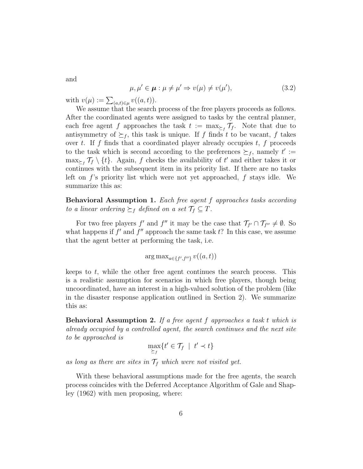and

$$
\mu, \mu' \in \boldsymbol{\mu} : \mu \neq \mu' \Rightarrow v(\mu) \neq v(\mu'), \tag{3.2}
$$

with  $v(\mu) := \sum_{(a,t) \in \mu} v((a,t)).$ 

We assume that the search process of the free players proceeds as follows. After the coordinated agents were assigned to tasks by the central planner, each free agent f approaches the task  $t := \max_{\geq f} \mathcal{T}_f$ . Note that due to antisymmetry of  $\succeq_f$ , this task is unique. If f finds t to be vacant, f takes over t. If f finds that a coordinated player already occupies  $t, f$  proceeds to the task which is second according to the preferences  $\succeq_f$ , namely  $t' :=$  $\max_{\geq f} \mathcal{T}_f \setminus \{t\}.$  Again, f checks the availability of t' and either takes it or continues with the subsequent item in its priority list. If there are no tasks left on f's priority list which were not yet approached, f stays idle. We summarize this as:

Behavioral Assumption 1. Each free agent f approaches tasks according to a linear ordering  $\succeq_f$  defined on a set  $\mathcal{T}_f \subseteq T$ .

For two free players f' and f'' it may be the case that  $\mathcal{T}_{f'} \cap \mathcal{T}_{f''} \neq \emptyset$ . So what happens if  $f'$  and  $f''$  approach the same task  $t$ ? In this case, we assume that the agent better at performing the task, i.e.

$$
\arg\max_{a \in \{f', f''\}} v((a, t))
$$

keeps to  $t$ , while the other free agent continues the search process. This is a realistic assumption for scenarios in which free players, though being uncoordinated, have an interest in a high-valued solution of the problem (like in the disaster response application outlined in Section 2). We summarize this as:

Behavioral Assumption 2. If a free agent f approaches a task t which is already occupied by a controlled agent, the search continues and the next site to be approached is

$$
\max_{\geq f} \{t' \in \mathcal{T}_f \mid t' \prec t\}
$$

as long as there are sites in  $\mathcal{T}_f$  which were not visited yet.

With these behavioral assumptions made for the free agents, the search process coincides with the Deferred Acceptance Algorithm of Gale and Shapley (1962) with men proposing, where: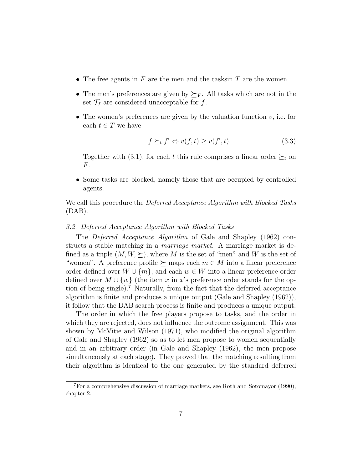- The free agents in  $F$  are the men and the tasks in  $T$  are the women.
- The men's preferences are given by  $\succeq_F$ . All tasks which are not in the set  $\mathcal{T}_f$  are considered unacceptable for f.
- The women's preferences are given by the valuation function  $v$ , i.e. for each  $t \in T$  we have

$$
f \succeq_t f' \Leftrightarrow v(f, t) \ge v(f', t). \tag{3.3}
$$

Together with (3.1), for each t this rule comprises a linear order  $\succeq_t$  on F.

• Some tasks are blocked, namely those that are occupied by controlled agents.

We call this procedure the *Deferred Acceptance Algorithm with Blocked Tasks* (DAB).

## 3.2. Deferred Acceptance Algorithm with Blocked Tasks

The Deferred Acceptance Algorithm of Gale and Shapley (1962) constructs a stable matching in a marriage market. A marriage market is defined as a triple  $(M, W, \geq)$ , where M is the set of "men" and W is the set of "women". A preference profile  $\succeq$  maps each  $m \in M$  into a linear preference order defined over  $W \cup \{m\}$ , and each  $w \in W$  into a linear preference order defined over  $M \cup \{w\}$  (the item x in x's preference order stands for the option of being single).<sup>7</sup> Naturally, from the fact that the deferred acceptance algorithm is finite and produces a unique output (Gale and Shapley (1962)), it follow that the DAB search process is finite and produces a unique output.

The order in which the free players propose to tasks, and the order in which they are rejected, does not influence the outcome assignment. This was shown by McVitie and Wilson (1971), who modified the original algorithm of Gale and Shapley (1962) so as to let men propose to women sequentially and in an arbitrary order (in Gale and Shapley (1962), the men propose simultaneously at each stage). They proved that the matching resulting from their algorithm is identical to the one generated by the standard deferred

<sup>7</sup>For a comprehensive discussion of marriage markets, see Roth and Sotomayor (1990), chapter 2.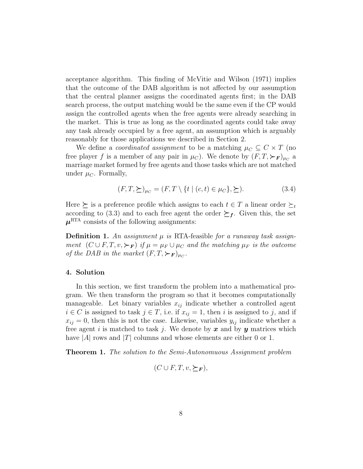acceptance algorithm. This finding of McVitie and Wilson (1971) implies that the outcome of the DAB algorithm is not affected by our assumption that the central planner assigns the coordinated agents first; in the DAB search process, the output matching would be the same even if the CP would assign the controlled agents when the free agents were already searching in the market. This is true as long as the coordinated agents could take away any task already occupied by a free agent, an assumption which is arguably reasonably for those applications we described in Section 2.

We define a *coordinated assignment* to be a matching  $\mu_C \subseteq C \times T$  (no free player f is a member of any pair in  $\mu_C$ ). We denote by  $(F, T, \succ_{\mathbf{F}})_{\mu_C}$  a marriage market formed by free agents and those tasks which are not matched under  $\mu_C$ . Formally,

$$
(F,T,\succeq)_{\mu_C} = (F,T \setminus \{t \mid (c,t) \in \mu_C\}, \succeq). \tag{3.4}
$$

Here  $\succeq$  is a preference profile which assigns to each  $t \in T$  a linear order  $\succeq_t$ according to (3.3) and to each free agent the order  $\succeq_f$ . Given this, the set  $\mu^{\text{RTA}}$  consists of the following assignments:

**Definition 1.** An assignment  $\mu$  is RTA-feasible for a runaway task assignment  $(C \cup F, T, v, \succ_{\mathbf{F}})$  if  $\mu = \mu_F \cup \mu_C$  and the matching  $\mu_F$  is the outcome of the DAB in the market  $(F, T, \succ_{\mathbf{F}})_{\mu_C}$ .

## 4. Solution

In this section, we first transform the problem into a mathematical program. We then transform the program so that it becomes computationally manageable. Let binary variables  $x_{ij}$  indicate whether a controlled agent  $i \in C$  is assigned to task  $j \in T$ , i.e. if  $x_{ij} = 1$ , then i is assigned to j, and if  $x_{ij} = 0$ , then this is not the case. Likewise, variables  $y_{ij}$  indicate whether a free agent i is matched to task j. We denote by x and by y matrices which have  $|A|$  rows and  $|T|$  columns and whose elements are either 0 or 1.

Theorem 1. The solution to the Semi-Autonomuous Assignment problem

$$
(C \cup F, T, v, \succeq_{\mathbf{F}}),
$$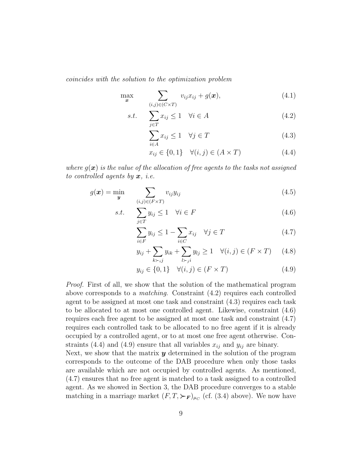coincides with the solution to the optimization problem

$$
\max_{\boldsymbol{x}} \sum_{(i,j)\in(C\times T)} v_{ij}x_{ij} + g(\boldsymbol{x}), \qquad (4.1)
$$

$$
s.t. \quad \sum_{j \in T} x_{ij} \le 1 \quad \forall i \in A \tag{4.2}
$$

$$
\sum_{i \in A} x_{ij} \le 1 \quad \forall j \in T \tag{4.3}
$$

$$
x_{ij} \in \{0, 1\} \quad \forall (i, j) \in (A \times T) \tag{4.4}
$$

where  $q(x)$  is the value of the allocation of free agents to the tasks not assigned to controlled agents by  $x$ , *i.e.* 

$$
g(\boldsymbol{x}) = \min_{\boldsymbol{y}} \sum_{(i,j) \in (F \times T)} v_{ij} y_{ij}
$$
(4.5)

$$
s.t. \quad \sum_{j \in T} y_{ij} \le 1 \quad \forall i \in F \tag{4.6}
$$

$$
\sum_{i \in F} y_{ij} \le 1 - \sum_{i \in C} x_{ij} \quad \forall j \in T \tag{4.7}
$$

$$
y_{ij} + \sum_{k > j} y_{ik} + \sum_{l > j} y_{lj} \ge 1 \quad \forall (i, j) \in (F \times T) \quad (4.8)
$$

$$
y_{ij} \in \{0, 1\} \quad \forall (i, j) \in (F \times T) \tag{4.9}
$$

Proof. First of all, we show that the solution of the mathematical program above corresponds to a *matching*. Constraint  $(4.2)$  requires each controlled agent to be assigned at most one task and constraint (4.3) requires each task to be allocated to at most one controlled agent. Likewise, constraint (4.6) requires each free agent to be assigned at most one task and constraint (4.7) requires each controlled task to be allocated to no free agent if it is already occupied by a controlled agent, or to at most one free agent otherwise. Constraints (4.4) and (4.9) ensure that all variables  $x_{ij}$  and  $y_{ij}$  are binary.

Next, we show that the matrix  $y$  determined in the solution of the program corresponds to the outcome of the DAB procedure when only those tasks are available which are not occupied by controlled agents. As mentioned, (4.7) ensures that no free agent is matched to a task assigned to a controlled agent. As we showed in Section 3, the DAB procedure converges to a stable matching in a marriage market  $(F, T, \succ_{F})_{\mu_{C}}$  (cf. (3.4) above). We now have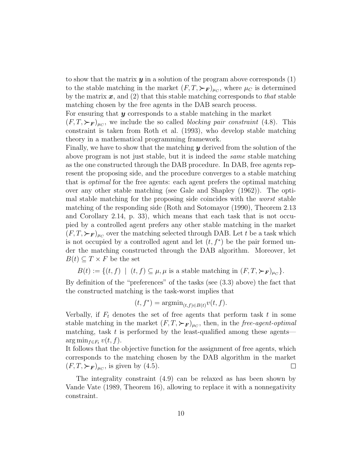to show that the matrix  $y$  in a solution of the program above corresponds  $(1)$ to the stable matching in the market  $(F, T, \succ_F)_{\mu_C}$ , where  $\mu_C$  is determined by the matrix  $x$ , and (2) that this stable matching corresponds to that stable matching chosen by the free agents in the DAB search process.

For ensuring that  $y$  corresponds to a stable matching in the market

 $(F, T, \succ_{\mathbf{F}})_{\mu_C}$ , we include the so called *blocking pair constraint* (4.8). This constraint is taken from Roth et al. (1993), who develop stable matching theory in a mathematical programming framework.

Finally, we have to show that the matching  $y$  derived from the solution of the above program is not just stable, but it is indeed the same stable matching as the one constructed through the DAB procedure. In DAB, free agents represent the proposing side, and the procedure converges to a stable matching that is optimal for the free agents: each agent prefers the optimal matching over any other stable matching (see Gale and Shapley (1962)). The optimal stable matching for the proposing side coincides with the worst stable matching of the responding side (Roth and Sotomayor (1990), Theorem 2.13 and Corollary 2.14, p. 33), which means that each task that is not occupied by a controlled agent prefers any other stable matching in the market  $(F, T, \succ_{\mathbf{F}})_{\mu_C}$  over the matching selected through DAB. Let t be a task which is not occupied by a controlled agent and let  $(t, f^*)$  be the pair formed under the matching constructed through the DAB algorithm. Moreover, let  $B(t) \subseteq T \times F$  be the set

 $B(t) := \{(t, f) \mid (t, f) \subseteq \mu, \mu \text{ is a stable matching in } (F, T, \succ_{\mathbf{F}})_{\mu_C}\}.$ 

By definition of the "preferences" of the tasks (see (3.3) above) the fact that the constructed matching is the task-worst implies that

$$
(t, f^*) = \operatorname{argmin}_{(t,f) \in B(t)} v(t,f).
$$

Verbally, if  $F_t$  denotes the set of free agents that perform task t in some stable matching in the market  $(F, T, \succ_{F})_{\mu_{C}}$ , then, in the free-agent-optimal matching, task  $t$  is performed by the least-qualified among these agents—  $\arg \min_{f \in F_t} v(t, f).$ 

It follows that the objective function for the assignment of free agents, which corresponds to the matching chosen by the DAB algorithm in the market  $(F, T, \succ_{\mathbf{F}})_{\mu_C}$ , is given by (4.5).  $\Box$ 

The integrality constraint (4.9) can be relaxed as has been shown by Vande Vate (1989, Theorem 16), allowing to replace it with a nonnegativity constraint.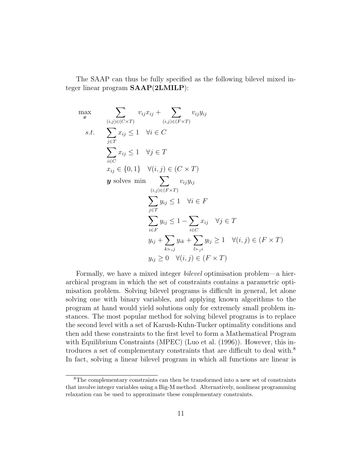The SAAP can thus be fully specified as the following bilevel mixed integer linear program SAAP(2LMILP):

$$
\max_{\mathbf{x}} \quad \sum_{(i,j)\in(C\times T)} v_{ij}x_{ij} + \sum_{(i,j)\in(F\times T)} v_{ij}y_{ij}
$$
\n
$$
s.t. \quad \sum_{j\in T} x_{ij} \le 1 \quad \forall i \in C
$$
\n
$$
\sum_{i\in C} x_{ij} \le 1 \quad \forall j \in T
$$
\n
$$
x_{ij} \in \{0,1\} \quad \forall (i,j) \in (C\times T)
$$
\n
$$
\mathbf{y} \text{ solves min} \quad \sum_{(i,j)\in(F\times T)} v_{ij}y_{ij}
$$
\n
$$
\sum_{j\in T} y_{ij} \le 1 \quad \forall i \in F
$$
\n
$$
\sum_{i\in F} y_{ij} \le 1 - \sum_{i\in C} x_{ij} \quad \forall j \in T
$$
\n
$$
y_{ij} + \sum_{k \succ_{ij}} y_{ik} + \sum_{l \succ_{ji}} y_{lj} \ge 1 \quad \forall (i,j) \in (F\times T)
$$
\n
$$
y_{ij} \ge 0 \quad \forall (i,j) \in (F\times T)
$$

Formally, we have a mixed integer bilevel optimisation problem—a hierarchical program in which the set of constraints contains a parametric optimisation problem. Solving bilevel programs is difficult in general, let alone solving one with binary variables, and applying known algorithms to the program at hand would yield solutions only for extremely small problem instances. The most popular method for solving bilevel programs is to replace the second level with a set of Karush-Kuhn-Tucker optimality conditions and then add these constraints to the first level to form a Mathematical Program with Equilibrium Constraints (MPEC) (Luo et al. (1996)). However, this introduces a set of complementary constraints that are difficult to deal with.<sup>8</sup> In fact, solving a linear bilevel program in which all functions are linear is

<sup>8</sup>The complementary constraints can then be transformed into a new set of constraints that involve integer variables using a Big-M method. Alternatively, nonlinear programming relaxation can be used to approximate these complementary constraints.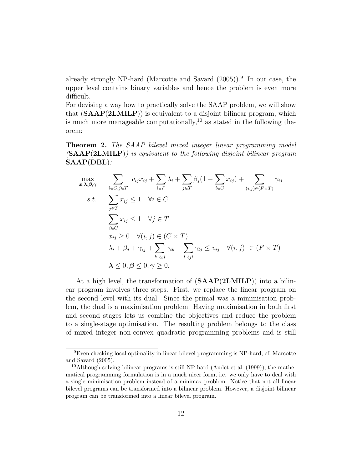already strongly NP-hard (Marcotte and Savard  $(2005)$ ).<sup>9</sup> In our case, the upper level contains binary variables and hence the problem is even more difficult.

For devising a way how to practically solve the SAAP problem, we will show that  $(SAAP(2LMILP))$  is equivalent to a disjoint bilinear program, which is much more manageable computationally,<sup>10</sup> as stated in the following theorem:

Theorem 2. The SAAP bilevel mixed integer linear programming model  $(SAAP(2LMILP))$  is equivalent to the following disjoint bilinear program SAAP(DBL):

$$
\max_{\substack{x,\lambda,\beta,\gamma}} \sum_{i \in C, j \in T} v_{ij} x_{ij} + \sum_{i \in F} \lambda_i + \sum_{j \in T} \beta_j (1 - \sum_{i \in C} x_{ij}) + \sum_{(i,j) \in (F \times T)} \gamma_{ij}
$$
\n
$$
s.t. \sum_{j \in T} x_{ij} \le 1 \quad \forall i \in C
$$
\n
$$
\sum_{i \in C} x_{ij} \le 1 \quad \forall j \in T
$$
\n
$$
x_{ij} \ge 0 \quad \forall (i,j) \in (C \times T)
$$
\n
$$
\lambda_i + \beta_j + \gamma_{ij} + \sum_{k \prec_{ij}} \gamma_{ik} + \sum_{l \prec_{ji}} \gamma_{lj} \le v_{ij} \quad \forall (i,j) \in (F \times T)
$$
\n
$$
\lambda \le 0, \beta \le 0, \gamma \ge 0.
$$

At a high level, the transformation of  $(SAAP(2LMILP))$  into a bilinear program involves three steps. First, we replace the linear program on the second level with its dual. Since the primal was a minimisation problem, the dual is a maximisation problem. Having maximisation in both first and second stages lets us combine the objectives and reduce the problem to a single-stage optimisation. The resulting problem belongs to the class of mixed integer non-convex quadratic programming problems and is still

<sup>&</sup>lt;sup>9</sup>Even checking local optimality in linear bilevel programming is NP-hard, cf. Marcotte and Savard (2005).

<sup>&</sup>lt;sup>10</sup>Although solving bilinear programs is still NP-hard (Audet et al.  $(1999)$ ), the mathematical programming formulation is in a much nicer form, i.e. we only have to deal with a single minimisation problem instead of a minimax problem. Notice that not all linear bilevel programs can be transformed into a bilinear problem. However, a disjoint bilinear program can be transformed into a linear bilevel program.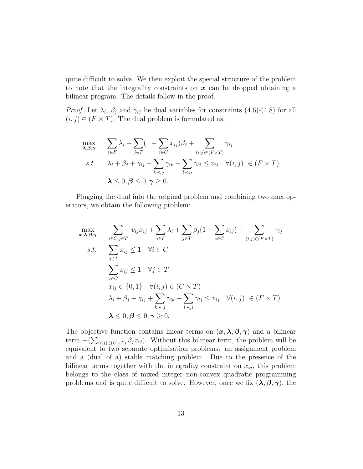quite difficult to solve. We then exploit the special structure of the problem to note that the integrality constraints on  $x$  can be dropped obtaining a bilinear program. The details follow in the proof.

*Proof.* Let  $\lambda_i$ ,  $\beta_j$  and  $\gamma_{ij}$  be dual variables for constraints (4.6)-(4.8) for all  $(i, j) \in (F \times T)$ . The dual problem is formulated as:

$$
\max_{\lambda, \beta, \gamma} \sum_{i \in F} \lambda_i + \sum_{j \in T} (1 - \sum_{i \in C} x_{ij}) \beta_j + \sum_{(i,j) \in (F \times T)} \gamma_{ij}
$$
\n
$$
s.t. \quad \lambda_i + \beta_j + \gamma_{ij} + \sum_{k \prec_{ij}} \gamma_{ik} + \sum_{l \prec_{ji}} \gamma_{lj} \le v_{ij} \quad \forall (i, j) \in (F \times T)
$$
\n
$$
\lambda \le 0, \beta \le 0, \gamma \ge 0.
$$

Plugging the dual into the original problem and combining two max operators, we obtain the following problem:

$$
\max_{x,\lambda,\beta,\gamma} \sum_{i \in C, j \in T} v_{ij} x_{ij} + \sum_{i \in F} \lambda_i + \sum_{j \in T} \beta_j (1 - \sum_{i \in C} x_{ij}) + \sum_{(i,j) \in (F \times T)} \gamma_{ij}
$$
\n
$$
s.t. \sum_{j \in T} x_{ij} \le 1 \quad \forall i \in C
$$
\n
$$
\sum_{i \in C} x_{ij} \le 1 \quad \forall j \in T
$$
\n
$$
x_{ij} \in \{0,1\} \quad \forall (i,j) \in (C \times T)
$$
\n
$$
\lambda_i + \beta_j + \gamma_{ij} + \sum_{k \succ_{ij}} \gamma_{ik} + \sum_{l \succ_{ji}} \gamma_{lj} \le v_{ij} \quad \forall (i,j) \in (F \times T)
$$
\n
$$
\lambda \le 0, \beta \le 0, \gamma \ge 0.
$$

The objective function contains linear terms on  $(x, \lambda, \beta, \gamma)$  and a bilinear term  $-(\sum_{(i,j)\in (C\times T)} \beta_j x_{ij})$ . Without this bilinear term, the problem will be equivalent to two separate optimisation problems: an assignment problem and a (dual of a) stable matching problem. Due to the presence of the bilinear terms together with the integrality constraint on  $x_{ij}$ , this problem belongs to the class of mixed integer non-convex quadratic programming problems and is quite difficult to solve. However, once we fix  $(\lambda, \beta, \gamma)$ , the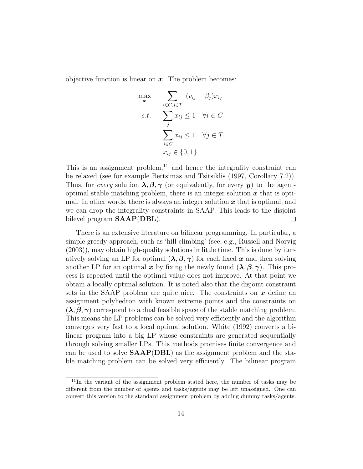objective function is linear on  $x$ . The problem becomes:

$$
\begin{aligned}\n\max_{\mathbf{x}} \quad & \sum_{i \in C, j \in T} \quad (v_{ij} - \beta_j) x_{ij} \\
\text{s.t.} \quad & \sum_{j} x_{ij} \le 1 \quad \forall i \in C \\
& \sum_{i \in C} x_{ij} \le 1 \quad \forall j \in T \\
& x_{ij} \in \{0, 1\}\n\end{aligned}
$$

This is an assignment problem, $^{11}$  and hence the integrality constraint can be relaxed (see for example Bertsimas and Tsitsiklis (1997, Corollary 7.2)). Thus, for every solution  $\lambda, \beta, \gamma$  (or equivalently, for every y) to the agentoptimal stable matching problem, there is an integer solution  $x$  that is optimal. In other words, there is always an integer solution  $x$  that is optimal, and we can drop the integrality constraints in SAAP. This leads to the disjoint bilevel program  $SAMP(DBL)$ .  $\Box$ 

There is an extensive literature on bilinear programming. In particular, a simple greedy approach, such as 'hill climbing' (see, e.g., Russell and Norvig (2003)), may obtain high-quality solutions in little time. This is done by iteratively solving an LP for optimal  $(\lambda, \beta, \gamma)$  for each fixed x and then solving another LP for an optimal x by fixing the newly found  $(\lambda, \beta, \gamma)$ . This process is repeated until the optimal value does not improve. At that point we obtain a locally optimal solution. It is noted also that the disjoint constraint sets in the SAAP problem are quite nice. The constraints on  $x$  define an assignment polyhedron with known extreme points and the constraints on  $(\lambda, \beta, \gamma)$  correspond to a dual feasible space of the stable matching problem. This means the LP problems can be solved very efficiently and the algorithm converges very fast to a local optimal solution. White (1992) converts a bilinear program into a big LP whose constraints are generated sequentially through solving smaller LPs. This methods promises finite convergence and can be used to solve  $SARP(DBL)$  as the assignment problem and the stable matching problem can be solved very efficiently. The bilinear program

<sup>&</sup>lt;sup>11</sup>In the variant of the assignment problem stated here, the number of tasks may be different from the number of agents and tasks/agents may be left unassigned. One can convert this version to the standard assignment problem by adding dummy tasks/agents.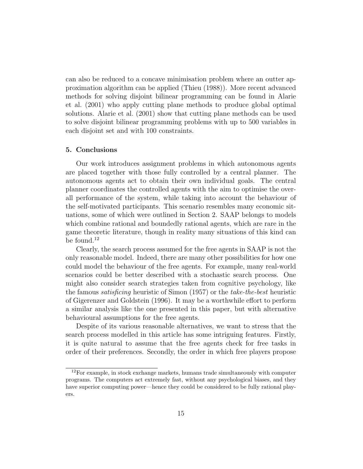can also be reduced to a concave minimisation problem where an outter approximation algorithm can be applied (Thieu (1988)). More recent advanced methods for solving disjoint bilinear programming can be found in Alarie et al. (2001) who apply cutting plane methods to produce global optimal solutions. Alarie et al. (2001) show that cutting plane methods can be used to solve disjoint bilinear programming problems with up to 500 variables in each disjoint set and with 100 constraints.

#### 5. Conclusions

Our work introduces assignment problems in which autonomous agents are placed together with those fully controlled by a central planner. The autonomous agents act to obtain their own individual goals. The central planner coordinates the controlled agents with the aim to optimise the overall performance of the system, while taking into account the behaviour of the self-motivated participants. This scenario resembles many economic situations, some of which were outlined in Section 2. SAAP belongs to models which combine rational and boundedly rational agents, which are rare in the game theoretic literature, though in reality many situations of this kind can be found.<sup>12</sup>

Clearly, the search process assumed for the free agents in SAAP is not the only reasonable model. Indeed, there are many other possibilities for how one could model the behaviour of the free agents. For example, many real-world scenarios could be better described with a stochastic search process. One might also consider search strategies taken from cognitive psychology, like the famous satisficing heuristic of Simon (1957) or the take-the-best heuristic of Gigerenzer and Goldstein (1996). It may be a worthwhile effort to perform a similar analysis like the one presented in this paper, but with alternative behavioural assumptions for the free agents.

Despite of its various reasonable alternatives, we want to stress that the search process modelled in this article has some intriguing features. Firstly, it is quite natural to assume that the free agents check for free tasks in order of their preferences. Secondly, the order in which free players propose

 $12$ For example, in stock exchange markets, humans trade simultaneously with computer programs. The computers act extremely fast, without any psychological biases, and they have superior computing power—hence they could be considered to be fully rational players.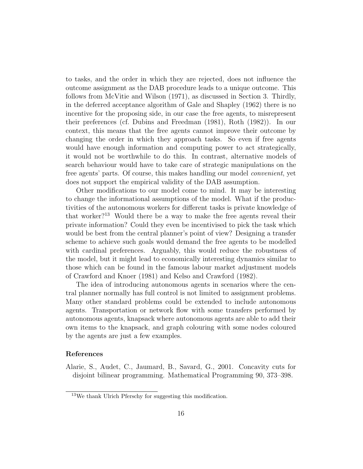to tasks, and the order in which they are rejected, does not influence the outcome assignment as the DAB procedure leads to a unique outcome. This follows from McVitie and Wilson (1971), as discussed in Section 3. Thirdly, in the deferred acceptance algorithm of Gale and Shapley (1962) there is no incentive for the proposing side, in our case the free agents, to misrepresent their preferences (cf. Dubins and Freedman (1981), Roth (1982)). In our context, this means that the free agents cannot improve their outcome by changing the order in which they approach tasks. So even if free agents would have enough information and computing power to act strategically, it would not be worthwhile to do this. In contrast, alternative models of search behaviour would have to take care of strategic manipulations on the free agents' parts. Of course, this makes handling our model convenient, yet does not support the empirical validity of the DAB assumption.

Other modifications to our model come to mind. It may be interesting to change the informational assumptions of the model. What if the productivities of the autonomous workers for different tasks is private knowledge of that worker?<sup>13</sup> Would there be a way to make the free agents reveal their private information? Could they even be incentivised to pick the task which would be best from the central planner's point of view? Designing a transfer scheme to achieve such goals would demand the free agents to be modelled with cardinal preferences. Arguably, this would reduce the robustness of the model, but it might lead to economically interesting dynamics similar to those which can be found in the famous labour market adjustment models of Crawford and Knoer (1981) and Kelso and Crawford (1982).

The idea of introducing autonomous agents in scenarios where the central planner normally has full control is not limited to assignment problems. Many other standard problems could be extended to include autonomous agents. Transportation or network flow with some transfers performed by autonomous agents, knapsack where autonomous agents are able to add their own items to the knapsack, and graph colouring with some nodes coloured by the agents are just a few examples.

#### References

Alarie, S., Audet, C., Jaumard, B., Savard, G., 2001. Concavity cuts for disjoint bilinear programming. Mathematical Programming 90, 373–398.

<sup>13</sup>We thank Ulrich Pferschy for suggesting this modification.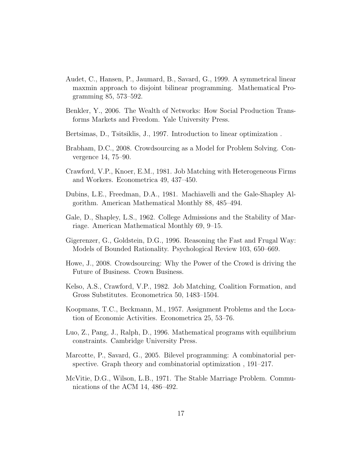- Audet, C., Hansen, P., Jaumard, B., Savard, G., 1999. A symmetrical linear maxmin approach to disjoint bilinear programming. Mathematical Programming 85, 573–592.
- Benkler, Y., 2006. The Wealth of Networks: How Social Production Transforms Markets and Freedom. Yale University Press.
- Bertsimas, D., Tsitsiklis, J., 1997. Introduction to linear optimization .
- Brabham, D.C., 2008. Crowdsourcing as a Model for Problem Solving. Convergence 14, 75–90.
- Crawford, V.P., Knoer, E.M., 1981. Job Matching with Heterogeneous Firms and Workers. Econometrica 49, 437–450.
- Dubins, L.E., Freedman, D.A., 1981. Machiavelli and the Gale-Shapley Algorithm. American Mathematical Monthly 88, 485–494.
- Gale, D., Shapley, L.S., 1962. College Admissions and the Stability of Marriage. American Mathematical Monthly 69, 9–15.
- Gigerenzer, G., Goldstein, D.G., 1996. Reasoning the Fast and Frugal Way: Models of Bounded Rationality. Psychological Review 103, 650–669.
- Howe, J., 2008. Crowdsourcing: Why the Power of the Crowd is driving the Future of Business. Crown Business.
- Kelso, A.S., Crawford, V.P., 1982. Job Matching, Coalition Formation, and Gross Substitutes. Econometrica 50, 1483–1504.
- Koopmans, T.C., Beckmann, M., 1957. Assignment Problems and the Location of Economic Activities. Econometrica 25, 53–76.
- Luo, Z., Pang, J., Ralph, D., 1996. Mathematical programs with equilibrium constraints. Cambridge University Press.
- Marcotte, P., Savard, G., 2005. Bilevel programming: A combinatorial perspective. Graph theory and combinatorial optimization , 191–217.
- McVitie, D.G., Wilson, L.B., 1971. The Stable Marriage Problem. Communications of the ACM 14, 486–492.